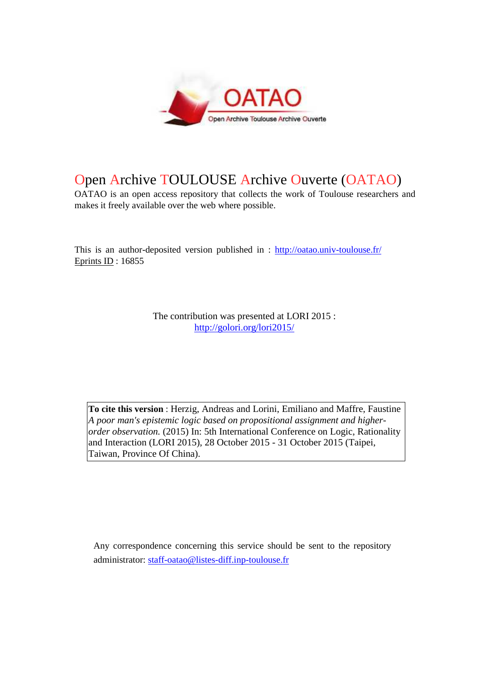

## Open Archive TOULOUSE Archive Ouverte (OATAO)

OATAO is an open access repository that collects the work of Toulouse researchers and makes it freely available over the web where possible.

This is an author-deposited version published in : http://oatao.univ-toulouse.fr/ Eprints ID : 16855

> The contribution was presented at LORI 2015 : http://golori.org/lori2015/

**To cite this version** : Herzig, Andreas and Lorini, Emiliano and Maffre, Faustine *A poor man's epistemic logic based on propositional assignment and higherorder observation.* (2015) In: 5th International Conference on Logic, Rationality and Interaction (LORI 2015), 28 October 2015 - 31 October 2015 (Taipei, Taiwan, Province Of China).

Any correspondence concerning this service should be sent to the repository administrator: staff-oatao@listes-diff.inp-toulouse.fr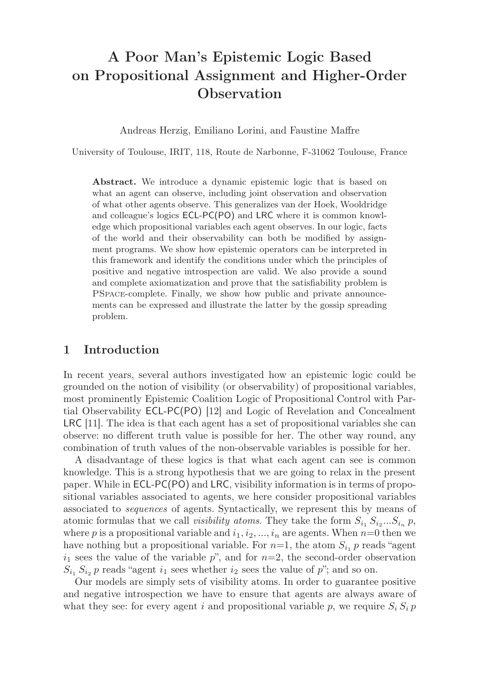# A Poor Man's Epistemic Logic Based on Propositional Assignment and Higher-Order **Observation**

Andreas Herzig, Emiliano Lorini, and Faustine Maffre

University of Toulouse, IRIT, 118, Route de Narbonne, F-31062 Toulouse, France

Abstract. We introduce a dynamic epistemic logic that is based on what an agent can observe, including joint observation and observation of what other agents observe. This generalizes van der Hoek, Wooldridge and colleague's logics ECL-PC(PO) and LRC where it is common knowledge which propositional variables each agent observes. In our logic, facts of the world and their observability can both be modified by assignment programs. We show how epistemic operators can be interpreted in this framework and identify the conditions under which the principles of positive and negative introspection are valid. We also provide a sound and complete axiomatization and prove that the satisfiability problem is PSpace-complete. Finally, we show how public and private announcements can be expressed and illustrate the latter by the gossip spreading problem.

### 1 Introduction

In recent years, several authors investigated how an epistemic logic could be grounded on the notion of visibility (or observability) of propositional variables, most prominently Epistemic Coalition Logic of Propositional Control with Partial Observability ECL-PC(PO) [12] and Logic of Revelation and Concealment LRC [11]. The idea is that each agent has a set of propositional variables she can observe: no different truth value is possible for her. The other way round, any combination of truth values of the non-observable variables is possible for her.

A disadvantage of these logics is that what each agent can see is common knowledge. This is a strong hypothesis that we are going to relax in the present paper. While in ECL-PC(PO) and LRC, visibility information is in terms of propositional variables associated to agents, we here consider propositional variables associated to *sequences* of agents. Syntactically, we represent this by means of atomic formulas that we call *visibility atoms*. They take the form  $S_{i_1} S_{i_2} ... S_{i_n} p$ , where p is a propositional variable and  $i_1, i_2, ..., i_n$  are agents. When  $n=0$  then we have nothing but a propositional variable. For  $n=1$ , the atom  $S_{i_1}$  p reads "agent"  $i_1$  sees the value of the variable p", and for  $n=2$ , the second-order observation  $S_{i_1} S_{i_2} p$  reads "agent  $i_1$  sees whether  $i_2$  sees the value of p"; and so on.

Our models are simply sets of visibility atoms. In order to guarantee positive and negative introspection we have to ensure that agents are always aware of what they see: for every agent i and propositional variable p, we require  $S_i S_i p$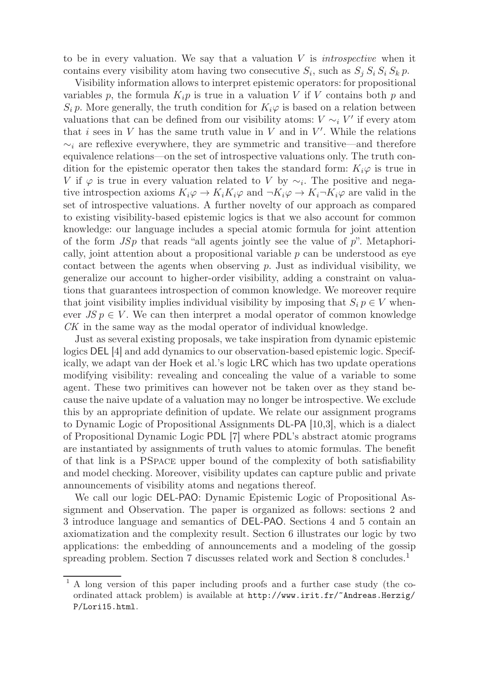to be in every valuation. We say that a valuation V is *introspective* when it contains every visibility atom having two consecutive  $S_i$ , such as  $S_j S_i S_i S_k p$ .

Visibility information allows to interpret epistemic operators: for propositional variables p, the formula  $K_i p$  is true in a valuation V if V contains both p and  $S_i p$ . More generally, the truth condition for  $K_i\varphi$  is based on a relation between valuations that can be defined from our visibility atoms:  $V \sim_i V'$  if every atom that i sees in  $V$  has the same truth value in  $V$  and in  $V'$ . While the relations  $\sim_i$  are reflexive everywhere, they are symmetric and transitive—and therefore equivalence relations—on the set of introspective valuations only. The truth condition for the epistemic operator then takes the standard form:  $K_i\varphi$  is true in V if  $\varphi$  is true in every valuation related to V by  $\sim_i$ . The positive and negative introspection axioms  $K_i\varphi \to K_iK_j\varphi$  and  $\neg K_i\varphi \to K_i\neg K_j\varphi$  are valid in the set of introspective valuations. A further novelty of our approach as compared to existing visibility-based epistemic logics is that we also account for common knowledge: our language includes a special atomic formula for joint attention of the form  $JSp$  that reads "all agents jointly see the value of  $p$ ". Metaphorically, joint attention about a propositional variable  $p$  can be understood as eye contact between the agents when observing  $p$ . Just as individual visibility, we generalize our account to higher-order visibility, adding a constraint on valuations that guarantees introspection of common knowledge. We moreover require that joint visibility implies individual visibility by imposing that  $S_i p \in V$  whenever  $JS p \in V$ . We can then interpret a modal operator of common knowledge CK in the same way as the modal operator of individual knowledge.

Just as several existing proposals, we take inspiration from dynamic epistemic logics DEL [4] and add dynamics to our observation-based epistemic logic. Specifically, we adapt van der Hoek et al.'s logic LRC which has two update operations modifying visibility: revealing and concealing the value of a variable to some agent. These two primitives can however not be taken over as they stand because the naive update of a valuation may no longer be introspective. We exclude this by an appropriate definition of update. We relate our assignment programs to Dynamic Logic of Propositional Assignments DL-PA [10,3], which is a dialect of Propositional Dynamic Logic PDL [7] where PDL's abstract atomic programs are instantiated by assignments of truth values to atomic formulas. The benefit of that link is a PSpace upper bound of the complexity of both satisfiability and model checking. Moreover, visibility updates can capture public and private announcements of visibility atoms and negations thereof.

We call our logic DEL-PAO: Dynamic Epistemic Logic of Propositional Assignment and Observation. The paper is organized as follows: sections 2 and 3 introduce language and semantics of DEL-PAO. Sections 4 and 5 contain an axiomatization and the complexity result. Section 6 illustrates our logic by two applications: the embedding of announcements and a modeling of the gossip spreading problem. Section 7 discusses related work and Section 8 concludes.<sup>1</sup>

<sup>1</sup> A long version of this paper including proofs and a further case study (the coordinated attack problem) is available at http://www.irit.fr/˜Andreas.Herzig/ P/Lori15.html.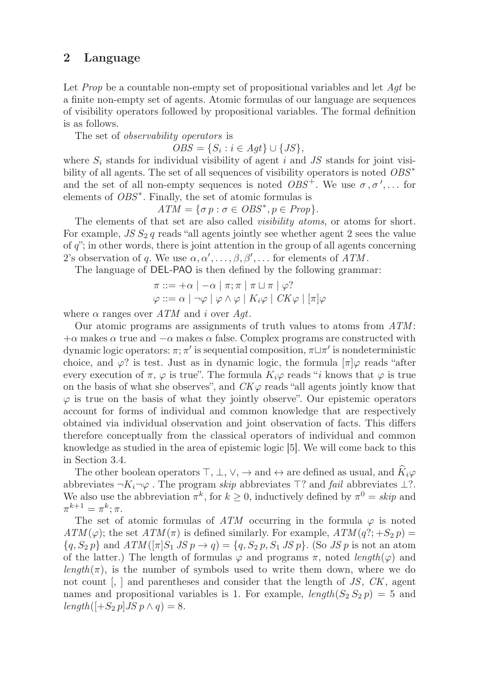## 2 Language

Let *Prop* be a countable non-empty set of propositional variables and let Agt be a finite non-empty set of agents. Atomic formulas of our language are sequences of visibility operators followed by propositional variables. The formal definition is as follows.

The set of *observability operators* is

 $OBS = \{S_i : i \in Agt\} \cup \{JS\},\$ 

where  $S_i$  stands for individual visibility of agent i and JS stands for joint visibility of all agents. The set of all sequences of visibility operators is noted  $OBS^*$ and the set of all non-empty sequences is noted  $OBS^+$ . We use  $\sigma, \sigma', \ldots$  for elements of  $OBS^*$ . Finally, the set of atomic formulas is

 $ATM = \{\sigma p : \sigma \in OBS^*, p \in Prop\}.$ 

The elements of that set are also called *visibility atoms*, or atoms for short. For example,  $JS S_2 q$  reads "all agents jointly see whether agent 2 sees the value of  $q$ "; in other words, there is joint attention in the group of all agents concerning 2's observation of q. We use  $\alpha, \alpha', \ldots, \beta, \beta', \ldots$  for elements of  $ATM$ .

The language of DEL-PAO is then defined by the following grammar:

$$
\pi ::= +\alpha \mid -\alpha \mid \pi; \pi \mid \pi \sqcup \pi \mid \varphi?
$$
  

$$
\varphi ::= \alpha \mid \neg \varphi \mid \varphi \land \varphi \mid K_i \varphi \mid CK\varphi \mid [\pi] \varphi
$$

where  $\alpha$  ranges over  $ATM$  and i over  $Agt$ .

Our atomic programs are assignments of truth values to atoms from ATM :  $+\alpha$  makes  $\alpha$  true and  $-\alpha$  makes  $\alpha$  false. Complex programs are constructed with dynamic logic operators:  $\pi$ ;  $\pi'$  is sequential composition,  $\pi \sqcup \pi'$  is nondeterministic choice, and  $\varphi$ ? is test. Just as in dynamic logic, the formula  $[\pi]\varphi$  reads "after every execution of  $\pi$ ,  $\varphi$  is true". The formula  $K_i\varphi$  reads "i knows that  $\varphi$  is true on the basis of what she observes", and  $CK\varphi$  reads "all agents jointly know that  $\varphi$  is true on the basis of what they jointly observe". Our epistemic operators account for forms of individual and common knowledge that are respectively obtained via individual observation and joint observation of facts. This differs therefore conceptually from the classical operators of individual and common knowledge as studied in the area of epistemic logic [5]. We will come back to this in Section 3.4.

The other boolean operators  $\top$ ,  $\bot$ ,  $\lor$ ,  $\rightarrow$  and  $\leftrightarrow$  are defined as usual, and  $K_i\varphi$ abbreviates  $\neg K_i\neg \varphi$ . The program skip abbreviates  $\top$ ? and fail abbreviates  $\bot$ ?. We also use the abbreviation  $\pi^k$ , for  $k \geq 0$ , inductively defined by  $\pi^0 = skip$  and  $\pi^{k+1} = \pi^k; \pi.$ 

The set of atomic formulas of ATM occurring in the formula  $\varphi$  is noted  $ATM(\varphi)$ ; the set  $ATM(\pi)$  is defined similarly. For example,  $ATM(q$ ?; +S<sub>2</sub> p) =  ${q, S_2 p}$  and  $ATM([\pi]S_1 JS p \rightarrow q) = {q, S_2 p, S_1 JS p}$ . (So JS p is not an atom of the latter.) The length of formulas  $\varphi$  and programs  $\pi$ , noted length( $\varphi$ ) and  $length(\pi)$ , is the number of symbols used to write them down, where we do not count  $\vert$ ,  $\vert$  and parentheses and consider that the length of JS, CK, agent names and propositional variables is 1. For example,  $length(S_2 S_2 p) = 5$  and  $length([+S_2 p] J S p \wedge q) = 8.$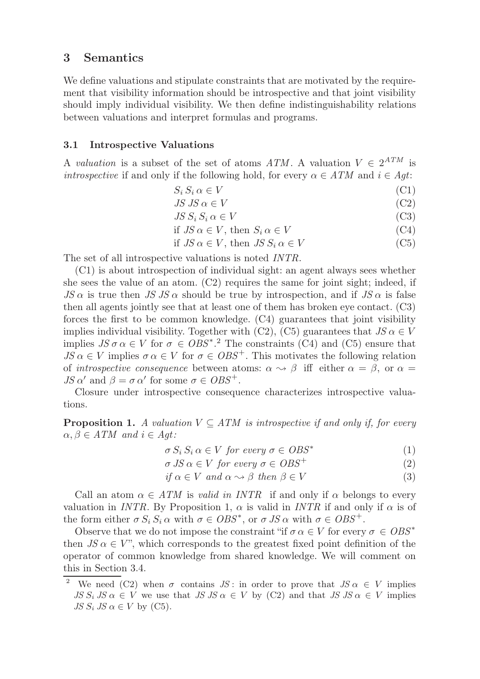## 3 Semantics

We define valuations and stipulate constraints that are motivated by the requirement that visibility information should be introspective and that joint visibility should imply individual visibility. We then define indistinguishability relations between valuations and interpret formulas and programs.

#### 3.1 Introspective Valuations

A *valuation* is a subset of the set of atoms ATM. A valuation  $V \in 2^{ATM}$  is *introspective* if and only if the following hold, for every  $\alpha \in ATM$  and  $i \in Agt$ :

$$
S_i S_i \alpha \in V \tag{C1}
$$

$$
JS\,JS\,\alpha\in V\tag{C2}
$$

$$
JS S_i S_i \alpha \in V \tag{C3}
$$

if 
$$
JS \alpha \in V
$$
, then  $S_i \alpha \in V$  (C4)

if 
$$
JS \alpha \in V
$$
, then  $JS S_i \alpha \in V$  (C5)

The set of all introspective valuations is noted INTR.

(C1) is about introspection of individual sight: an agent always sees whether she sees the value of an atom. (C2) requires the same for joint sight; indeed, if  $JS \alpha$  is true then  $JS \text{ }\overline{S} \alpha$  should be true by introspection, and if  $JS \alpha$  is false then all agents jointly see that at least one of them has broken eye contact. (C3) forces the first to be common knowledge. (C4) guarantees that joint visibility implies individual visibility. Together with (C2), (C5) guarantees that  $JS \alpha \in V$ implies  $JS \sigma \alpha \in V$  for  $\sigma \in OBS^*$ .<sup>2</sup> The constraints (C4) and (C5) ensure that  $JS \alpha \in V$  implies  $\sigma \alpha \in V$  for  $\sigma \in OBS^+$ . This motivates the following relation of *introspective consequence* between atoms:  $\alpha \rightarrow \beta$  iff either  $\alpha = \beta$ , or  $\alpha =$  $JS \alpha'$  and  $\beta = \sigma \alpha'$  for some  $\sigma \in OBS^+$ .

Closure under introspective consequence characterizes introspective valuations.

**Proposition 1.** A valuation  $V \subseteq ATM$  is introspective if and only if, for every  $\alpha, \beta \in ATM$  and  $i \in Agt$ :

$$
\sigma S_i S_i \alpha \in V \text{ for every } \sigma \in OBS^* \tag{1}
$$

$$
\sigma JS \alpha \in V \text{ for every } \sigma \in OBS^+ \tag{2}
$$

$$
if \alpha \in V \ and \ \alpha \leadsto \beta \ then \ \beta \in V \tag{3}
$$

Call an atom  $\alpha \in ATM$  is *valid in INTR* if and only if  $\alpha$  belongs to every valuation in INTR. By Proposition 1,  $\alpha$  is valid in INTR if and only if  $\alpha$  is of the form either  $\sigma S_i S_i \alpha$  with  $\sigma \in OBS^*$ , or  $\sigma JS \alpha$  with  $\sigma \in OBS^+$ .

Observe that we do not impose the constraint "if  $\sigma \alpha \in V$  for every  $\sigma \in OBS^*$ then  $JS \alpha \in V$ ", which corresponds to the greatest fixed point definition of the operator of common knowledge from shared knowledge. We will comment on this in Section 3.4.

<sup>&</sup>lt;sup>2</sup> We need (C2) when  $\sigma$  contains JS: in order to prove that JS  $\alpha \in V$  implies  $JS S_i JS \alpha \in V$  we use that  $JS JS \alpha \in V$  by  $(C2)$  and that  $JS JS \alpha \in V$  implies  $JS S_i JS \alpha \in V$  by (C5).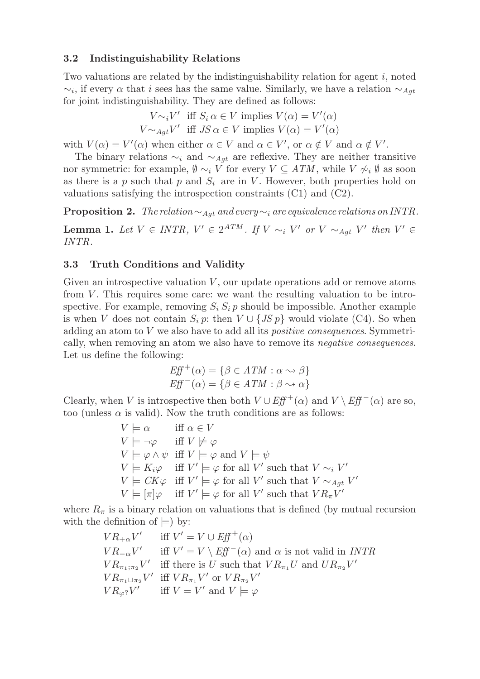## 3.2 Indistinguishability Relations

Two valuations are related by the indistinguishability relation for agent  $i$ , noted  $\sim_i$ , if every  $\alpha$  that i sees has the same value. Similarly, we have a relation  $\sim_{Agt}$ for joint indistinguishability. They are defined as follows:

> $V \sim_i V'$  iff  $S_i \alpha \in V$  implies  $V(\alpha) = V'(\alpha)$  $V \sim_{Agt} V'$  iff  $JS \alpha \in V$  implies  $V(\alpha) = V'(\alpha)$

with  $V(\alpha) = V'(\alpha)$  when either  $\alpha \in V$  and  $\alpha \in V'$ , or  $\alpha \notin V$  and  $\alpha \notin V'$ .

The binary relations  $\sim_i$  and  $\sim_{Agt}$  are reflexive. They are neither transitive nor symmetric: for example,  $\emptyset \sim_i V$  for every  $V \subseteq ATM$ , while  $V \not\sim_i \emptyset$  as soon as there is a p such that p and  $S_i$  are in V. However, both properties hold on valuations satisfying the introspection constraints (C1) and (C2).

Proposition 2. *The relation*∼Agt *and every*∼<sup>i</sup> *are equivalence relations on* INTR*.*

**Lemma 1.** Let  $V \in INTR$ ,  $V' \in 2^{ATM}$ . If  $V \sim_i V'$  or  $V \sim_{Agt} V'$  then  $V' \in$ INTR*.*

## 3.3 Truth Conditions and Validity

Given an introspective valuation  $V$ , our update operations add or remove atoms from  $V$ . This requires some care: we want the resulting valuation to be introspective. For example, removing  $S_i S_i p$  should be impossible. Another example is when V does not contain  $S_i p$ : then  $V \cup \{JS p\}$  would violate (C4). So when adding an atom to V we also have to add all its *positive consequences*. Symmetrically, when removing an atom we also have to remove its *negative consequences*. Let us define the following:

$$
Eff^{+}(\alpha) = \{ \beta \in ATM : \alpha \leadsto \beta \}
$$
  

$$
Eff^{-}(\alpha) = \{ \beta \in ATM : \beta \leadsto \alpha \}
$$

Clearly, when V is introspective then both  $V \cup Eff^+(\alpha)$  and  $V \setminus Eff^-(\alpha)$  are so, too (unless  $\alpha$  is valid). Now the truth conditions are as follows:

> $V \models \alpha$  iff  $\alpha \in V$  $V \models \neg \varphi$  iff  $V \not\models \varphi$  $V \models \varphi \land \psi \text{ iff } V \models \varphi \text{ and } V \models \psi$  $V \models K_i \varphi$  iff  $V' \models \varphi$  for all V' such that  $V \sim_i V'$  $V \models CK\varphi$  iff  $V' \models \varphi$  for all V' such that  $V \sim_{Agt} V'$  $V \models [\pi]\varphi$  iff  $V' \models \varphi$  for all V' such that  $VR_{\pi}V'$

where  $R_{\pi}$  is a binary relation on valuations that is defined (by mutual recursion with the definition of  $\models$ ) by:

$$
VR_{+\alpha}V'
$$
 iff  $V' = V \cup Eff^+(\alpha)$   
\n
$$
VR_{-\alpha}V'
$$
 iff  $V' = V \setminus Eff^-(\alpha)$  and  $\alpha$  is not valid in *INTR*  
\n
$$
VR_{\pi_1;\pi_2}V'
$$
 iff there is  $U$  such that  $VR_{\pi_1}U$  and  $UR_{\pi_2}V'$   
\n
$$
VR_{\pi_1 \sqcup \pi_2}V'
$$
 iff  $VR_{\pi_1}V'$  or  $VR_{\pi_2}V'$   
\n
$$
VR_{\varphi?}V'
$$
 iff  $V = V'$  and  $V \models \varphi$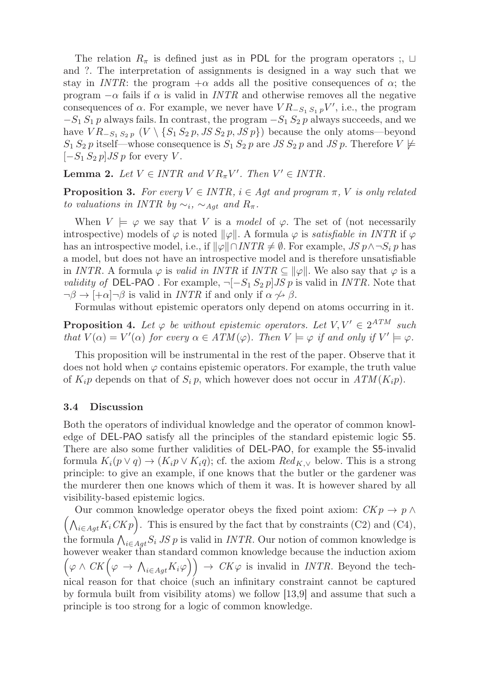The relation  $R_\pi$  is defined just as in PDL for the program operators ;, ⊔ and ?. The interpretation of assignments is designed in a way such that we stay in INTR: the program  $+\alpha$  adds all the positive consequences of  $\alpha$ ; the program  $-\alpha$  fails if  $\alpha$  is valid in *INTR* and otherwise removes all the negative consequences of  $\alpha$ . For example, we never have  $VR_{-S_1 S_1 p}V'$ , i.e., the program  $-S_1 S_1 p$  always fails. In contrast, the program  $-S_1 S_2 p$  always succeeds, and we have  $VR_{-S_1 S_2 p} (V \setminus {S_1 S_2 p, JS S_2 p, JS p})$  because the only atoms—beyond  $S_1 S_2 p$  itself—whose consequence is  $S_1 S_2 p$  are JS  $S_2 p$  and JS p. Therefore  $V \not\models$  $[-S_1 S_2 p]$  JS p for every V.

**Lemma 2.** Let  $V \in \text{INTR}$  and  $VR_{\pi}V'$ . Then  $V' \in \text{INTR}$ .

**Proposition 3.** For every  $V \in INTR$ ,  $i \in Agt$  and program  $\pi$ , V is only related *to valuations in INTR by*  $\sim_i$ ,  $\sim_{Aqt}$  *and*  $R_{\pi}$ .

When  $V \models \varphi$  we say that V is a *model* of  $\varphi$ . The set of (not necessarily introspective) models of  $\varphi$  is noted  $\|\varphi\|$ . A formula  $\varphi$  is *satisfiable in INTR* if  $\varphi$ has an introspective model, i.e., if  $\|\varphi\| \cap INTR \neq \emptyset$ . For example,  $JS \, p \wedge \neg S_i \, p$  has a model, but does not have an introspective model and is therefore unsatisfiable in INTR. A formula  $\varphi$  is *valid in INTR* if  $\text{INTR} \subseteq ||\varphi||$ . We also say that  $\varphi$  is a *validity of* DEL-PAO. For example,  $\neg [-S_1 S_2 p] J S p$  is valid in *INTR*. Note that  $\neg \beta \rightarrow \left[ +\alpha \right] \neg \beta$  is valid in *INTR* if and only if  $\alpha \nrightarrow \beta$ .

Formulas without epistemic operators only depend on atoms occurring in it.

**Proposition 4.** Let  $\varphi$  be without epistemic operators. Let  $V, V' \in 2^{ATM}$  such *that*  $V(\alpha) = V'(\alpha)$  *for every*  $\alpha \in ATM(\varphi)$ *. Then*  $V \models \varphi$  *if and only if*  $V' \models \varphi$ *.* 

This proposition will be instrumental in the rest of the paper. Observe that it does not hold when  $\varphi$  contains epistemic operators. For example, the truth value of  $K_i p$  depends on that of  $S_i p$ , which however does not occur in  $ATM(K_i p)$ .

#### 3.4 Discussion

Both the operators of individual knowledge and the operator of common knowledge of DEL-PAO satisfy all the principles of the standard epistemic logic S5. There are also some further validities of DEL-PAO, for example the S5-invalid formula  $K_i(p \vee q) \rightarrow (K_i p \vee K_i q)$ ; cf. the axiom  $Red_{K,\vee}$  below. This is a strong principle: to give an example, if one knows that the butler or the gardener was the murderer then one knows which of them it was. It is however shared by all visibility-based epistemic logics.

Our common knowledge operator obeys the fixed point axiom:  $CKp \rightarrow p \land p$  $\left(\bigwedge_{i\in Agt} K_i C K p\right)$ . This is ensured by the fact that by constraints (C2) and (C4), the formula  $\bigwedge_{i\in Ag_t} S_i$  JS p is valid in INTR. Our notion of common knowledge is however weaker than standard common knowledge because the induction axiom  $(\varphi \wedge CK(\varphi \to \bigwedge_{i \in Agt} K_i\varphi)) \to CK\varphi$  is invalid in *INTR*. Beyond the technical reason for that choice (such an infinitary constraint cannot be captured by formula built from visibility atoms) we follow [13,9] and assume that such a principle is too strong for a logic of common knowledge.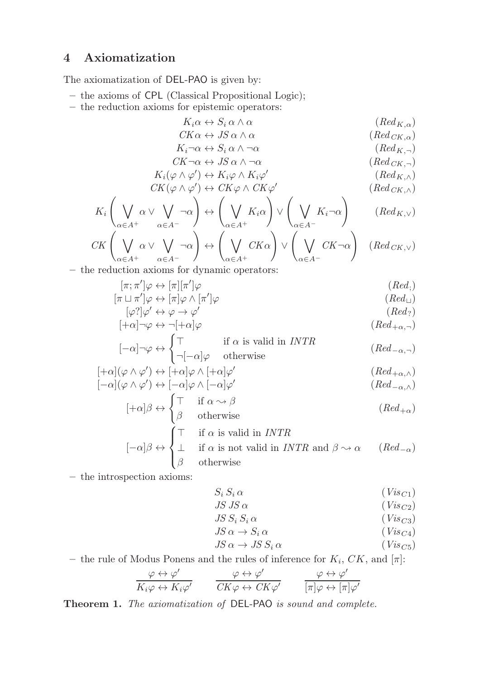## 4 Axiomatization

The axiomatization of DEL-PAO is given by:

- the axioms of CPL (Classical Propositional Logic);
- the reduction axioms for epistemic operators:

$$
K_i \alpha \leftrightarrow S_i \alpha \wedge \alpha \qquad (Red_{K,\alpha})
$$
  
\n
$$
CK\alpha \leftrightarrow JS\alpha \wedge \alpha \qquad (Red_{CK,\alpha})
$$

$$
K_i \neg \alpha \leftrightarrow S_i \alpha \land \neg \alpha \qquad (Red_K, \neg)
$$

$$
CK \neg \alpha \leftrightarrow JS \alpha \land \neg \alpha \qquad (Red_{CK, \neg})
$$

$$
K_i(\varphi \wedge \varphi') \leftrightarrow K_i\varphi \wedge K_i\varphi'
$$
 (Red<sub>K,\wedge</sub>)

$$
CK(\varphi \wedge \varphi') \leftrightarrow CK\varphi \wedge CK\varphi'
$$
 (Red  $CK, \wedge$ )

K<sup>i</sup> α∈A<sup>+</sup> α ∨ α∈A<sup>−</sup> ¬α ↔ α∈A<sup>+</sup> Kiα ∨ α∈A<sup>−</sup> Ki¬α (RedK,<sup>∨</sup>) 

$$
CK\left(\bigvee_{\alpha\in A^{+}}\alpha\vee\bigvee_{\alpha\in A^{-}}\neg\alpha\right)\leftrightarrow\left(\bigvee_{\alpha\in A^{+}}CK\alpha\right)\vee\left(\bigvee_{\alpha\in A^{-}}CK\neg\alpha\right)\quad\left(Red_{CK,\vee}\right)
$$

– the reduction axioms for dynamic operators:

$$
[\pi; \pi']\varphi \leftrightarrow [\pi][\pi']\varphi
$$
\n
$$
[\pi \sqcup \pi']\varphi \leftrightarrow [\pi]\varphi \land [\pi']\varphi
$$
\n
$$
(Red_{\sqcup})
$$
\n
$$
(Red_{\sqcup})
$$

$$
[\varphi']\varphi' \leftrightarrow \varphi \to \varphi'
$$
\n
$$
[Red]
$$
\n
$$
[Red]
$$

$$
[+\alpha]\neg\varphi \leftrightarrow \neg[+\alpha]\varphi \qquad (Red_{+\alpha,\neg})
$$

$$
[-\alpha]\neg\varphi \leftrightarrow \begin{cases} \top & \text{if } \alpha \text{ is valid in } INTR \\ \neg[-\alpha]\varphi & \text{otherwise} \end{cases} (Red_{-\alpha,\neg})
$$

$$
[+\alpha](\varphi \wedge \varphi') \leftrightarrow [+\alpha]\varphi \wedge [+\alpha]\varphi'
$$
\n
$$
[-\alpha](\varphi \wedge \varphi') \leftrightarrow [-\alpha]\varphi \wedge [-\alpha]\varphi'
$$
\n
$$
(Red_{+\alpha,\wedge})
$$
\n
$$
(Red_{+\alpha,\wedge})
$$

$$
[-\alpha](\varphi \wedge \varphi') \leftrightarrow [-\alpha]\varphi \wedge [-\alpha]\varphi'
$$
\n
$$
[+\alpha]\beta \leftrightarrow \int \top \quad \text{if } \alpha \leadsto \beta
$$
\n
$$
(Red_{-\alpha,\wedge})
$$
\n
$$
(Red_{-\alpha,\wedge})
$$

$$
[+\alpha]\beta \leftrightarrow \begin{cases} \beta & \text{if } \alpha \to \beta \\ \beta & \text{otherwise} \end{cases}
$$
 (Red<sub>+\alpha</sub>)  

$$
\begin{pmatrix} \top & \text{if } \alpha \text{ is valid in } INTR \end{pmatrix}
$$

$$
[-\alpha]\beta \leftrightarrow \begin{cases} \top & \text{if } \alpha \text{ is valid in } INTR \\ \bot & \text{if } \alpha \text{ is not valid in } INTR \text{ and } \beta \leadsto \alpha \\ \beta & \text{otherwise} \end{cases} (Red_{-\alpha})
$$

– the introspection axioms:

$$
S_i \, S_i \, \alpha \tag{Vis_{C1}}
$$

$$
JS \, JS \, \alpha \tag{Visc2}
$$
\n
$$
IS \, S \cdot S \cdot \alpha \tag{Visc3}
$$

$$
JS S_i S_i \alpha \qquad (Vis_{C3})
$$

$$
JS \alpha \to S_i \alpha \qquad (Vis_{C4})
$$

$$
JS \alpha \to JS \ S_i \alpha \qquad (Vis_{C5})
$$

– the rule of Modus Ponens and the rules of inference for  $K_i$ ,  $CK$ , and  $[\pi]$ :

$$
\frac{\varphi \leftrightarrow \varphi'}{K_i \varphi \leftrightarrow K_i \varphi'} \qquad \frac{\varphi \leftrightarrow \varphi'}{CK \varphi \leftrightarrow CK \varphi'} \qquad \frac{\varphi \leftrightarrow \varphi'}{[\pi] \varphi \leftrightarrow [\pi] \varphi'}
$$

Theorem 1. *The axiomatization of* DEL-PAO *is sound and complete.*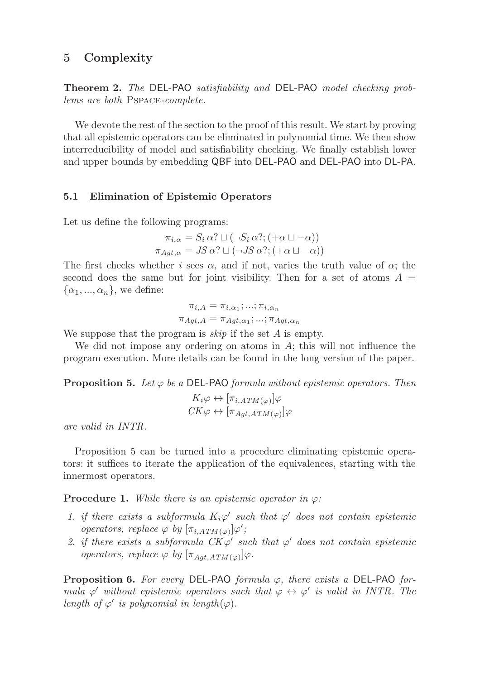## 5 Complexity

Theorem 2. *The* DEL-PAO *satisfiability and* DEL-PAO *model checking problems are both* Pspace*-complete.*

We devote the rest of the section to the proof of this result. We start by proving that all epistemic operators can be eliminated in polynomial time. We then show interreducibility of model and satisfiability checking. We finally establish lower and upper bounds by embedding QBF into DEL-PAO and DEL-PAO into DL-PA.

#### 5.1 Elimination of Epistemic Operators

Let us define the following programs:

$$
\pi_{i,\alpha} = S_i \alpha? \sqcup (\neg S_i \alpha?; (+\alpha \sqcup -\alpha))
$$

$$
\pi_{Agt,\alpha} = JS \alpha? \sqcup (\neg JS \alpha?; (+\alpha \sqcup -\alpha))
$$

The first checks whether i sees  $\alpha$ , and if not, varies the truth value of  $\alpha$ ; the second does the same but for joint visibility. Then for a set of atoms  $A =$  $\{\alpha_1, ..., \alpha_n\}$ , we define:

$$
\pi_{i,A} = \pi_{i,\alpha_1}; \dots; \pi_{i,\alpha_n}
$$

$$
\pi_{Agt,A} = \pi_{Agt,\alpha_1}; \dots; \pi_{Agt,\alpha_n}
$$

We suppose that the program is  $skip$  if the set A is empty.

We did not impose any ordering on atoms in  $A$ ; this will not influence the program execution. More details can be found in the long version of the paper.

**Proposition 5.** Let  $\varphi$  be a DEL-PAO *formula without epistemic operators. Then* 

$$
K_i \varphi \leftrightarrow [\pi_{i,ATM(\varphi)}] \varphi
$$
  

$$
CK \varphi \leftrightarrow [\pi_{Agt,ATM(\varphi)}] \varphi
$$

*are valid in* INTR*.*

Proposition 5 can be turned into a procedure eliminating epistemic operators: it suffices to iterate the application of the equivalences, starting with the innermost operators.

**Procedure 1.** *While there is an epistemic operator in*  $\varphi$ *:* 

- *1. if there exists a subformula*  $K_i\varphi'$  such that  $\varphi'$  does not contain epistemic *operators, replace*  $\varphi$  *by*  $[\pi_{i,ATM(\varphi)}]\varphi'$ ;
- 2. if there exists a subformula  $CK\varphi'$  such that  $\varphi'$  does not contain epistemic *operators, replace*  $\varphi$  *by*  $[\pi_{Agt,ATM(\varphi)}]\varphi$ *.*

Proposition 6. *For every* DEL-PAO *formula* ϕ*, there exists a* DEL-PAO *formula*  $\varphi'$  *without epistemic operators such that*  $\varphi \leftrightarrow \varphi'$  *is valid in INTR. The length of*  $\varphi'$  *is polynomial in length* $(\varphi)$ *.*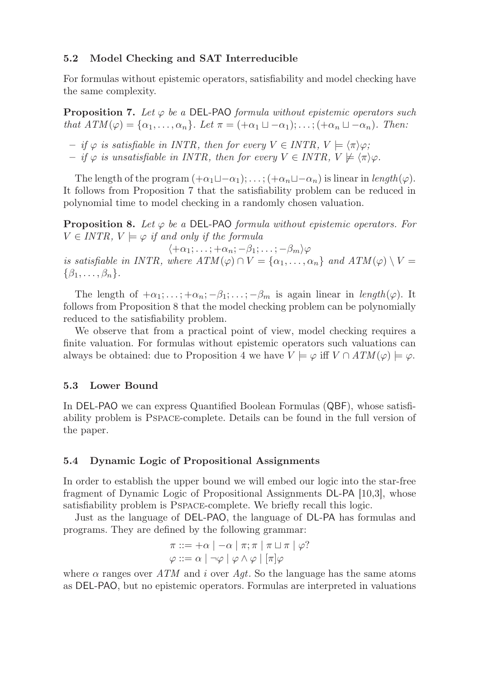## 5.2 Model Checking and SAT Interreducible

For formulas without epistemic operators, satisfiability and model checking have the same complexity.

**Proposition 7.** Let  $\varphi$  be a DEL-PAO *formula without epistemic operators such that*  $ATM(\varphi) = {\alpha_1, \ldots, \alpha_n}$ *. Let*  $\pi = (+\alpha_1 \sqcup -\alpha_1); \ldots; (+\alpha_n \sqcup -\alpha_n)$ *. Then:* 

 $-$  *if*  $\varphi$  *is satisfiable in INTR, then for every*  $V \in \text{INTER}$ ,  $V \models \langle \pi \rangle \varphi$ ;

 $-$  *if*  $\varphi$  *is unsatisfiable in INTR, then for every*  $V \in \text{INTER}$ ,  $V \not\models \langle \pi \rangle \varphi$ .

The length of the program  $(+\alpha_1 \sqcup -\alpha_1);\ldots; (+\alpha_n \sqcup -\alpha_n)$  is linear in length( $\varphi$ ). It follows from Proposition 7 that the satisfiability problem can be reduced in polynomial time to model checking in a randomly chosen valuation.

**Proposition 8.** Let  $\varphi$  be a DEL-PAO *formula without epistemic operators. For*  $V \in \text{INTR}$ ,  $V \models \varphi$  *if and only if the formula* 

 $\langle +\alpha_1; \ldots; +\alpha_n; -\beta_1; \ldots; -\beta_m \rangle \varphi$ *is satisfiable in INTR, where*  $ATM(\varphi) \cap V = {\alpha_1, \ldots, \alpha_n}$  *and*  $ATM(\varphi) \setminus V =$  $\{\beta_1,\ldots,\beta_n\}.$ 

The length of  $+\alpha_1; \ldots; +\alpha_n; -\beta_1; \ldots; -\beta_m$  is again linear in length( $\varphi$ ). It follows from Proposition 8 that the model checking problem can be polynomially reduced to the satisfiability problem.

We observe that from a practical point of view, model checking requires a finite valuation. For formulas without epistemic operators such valuations can always be obtained: due to Proposition 4 we have  $V \models \varphi$  iff  $V \cap ATM(\varphi) \models \varphi$ .

#### 5.3 Lower Bound

In DEL-PAO we can express Quantified Boolean Formulas (QBF), whose satisfiability problem is Pspace-complete. Details can be found in the full version of the paper.

#### 5.4 Dynamic Logic of Propositional Assignments

In order to establish the upper bound we will embed our logic into the star-free fragment of Dynamic Logic of Propositional Assignments DL-PA [10,3], whose satisfiability problem is Pspace-complete. We briefly recall this logic.

Just as the language of DEL-PAO, the language of DL-PA has formulas and programs. They are defined by the following grammar:

$$
\pi ::= +\alpha \mid -\alpha \mid \pi; \pi \mid \pi \sqcup \pi \mid \varphi?
$$
  

$$
\varphi ::= \alpha \mid \neg \varphi \mid \varphi \land \varphi \mid [\pi] \varphi
$$

where  $\alpha$  ranges over ATM and i over Aqt. So the language has the same atoms as DEL-PAO, but no epistemic operators. Formulas are interpreted in valuations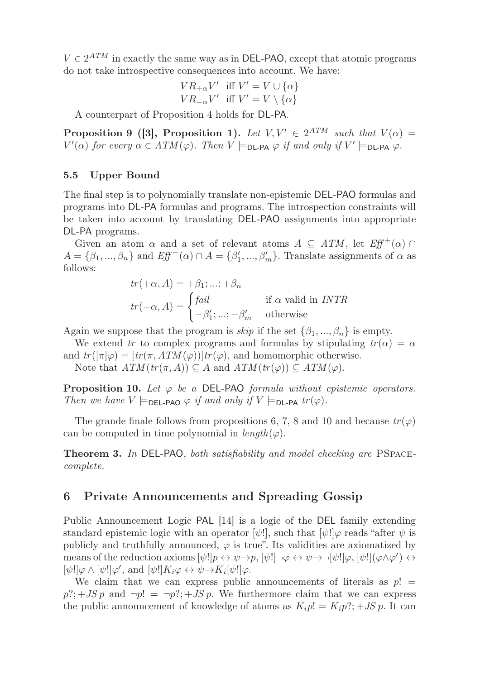$V \in 2^{ATM}$  in exactly the same way as in DEL-PAO, except that atomic programs do not take introspective consequences into account. We have:

$$
VR_{+\alpha}V' \text{ iff } V' = V \cup {\{\alpha\}}
$$
  

$$
VR_{-\alpha}V' \text{ iff } V' = V \setminus {\{\alpha\}}
$$

A counterpart of Proposition 4 holds for DL-PA.

**Proposition 9 ([3], Proposition 1).** Let  $V, V' \in 2^{ATM}$  such that  $V(\alpha) =$  $V'(\alpha)$  for every  $\alpha \in ATM(\varphi)$ . Then  $V \models_{\text{DL-PA}} \varphi$  if and only if  $V' \models_{\text{DL-PA}} \varphi$ .

### 5.5 Upper Bound

The final step is to polynomially translate non-epistemic DEL-PAO formulas and programs into DL-PA formulas and programs. The introspection constraints will be taken into account by translating DEL-PAO assignments into appropriate DL-PA programs.

Given an atom  $\alpha$  and a set of relevant atoms  $A \subseteq ATM$ , let  $Eff^+(\alpha) \cap$  $A = \{\beta_1, ..., \beta_n\}$  and  $Eff^-(\alpha) \cap A = \{\beta'_1, ..., \beta'_m\}$ . Translate assignments of  $\alpha$  as follows:

$$
tr(+\alpha, A) = +\beta_1; ...; +\beta_n
$$
  

$$
tr(-\alpha, A) = \begin{cases} fail & \text{if } \alpha \text{ valid in } INTR \\ -\beta'_1; ...; -\beta'_m & \text{otherwise} \end{cases}
$$

Again we suppose that the program is *skip* if the set  $\{\beta_1, ..., \beta_n\}$  is empty.

We extend tr to complex programs and formulas by stipulating  $tr(\alpha) = \alpha$ and  $tr([\pi]\varphi) = [tr(\pi, ATM(\varphi))]tr(\varphi)$ , and homomorphic otherwise.

Note that  $ATM(tr(\pi, A)) \subseteq A$  and  $ATM(tr(\varphi)) \subseteq ATM(\varphi)$ .

**Proposition 10.** Let  $\varphi$  be a DEL-PAO *formula without epistemic operators. Then we have*  $V \models_{\text{DEL-PAO}} \varphi$  *if and only if*  $V \models_{\text{DL-PA}} tr(\varphi)$ *.* 

The grande finale follows from propositions 6, 7, 8 and 10 and because  $tr(\varphi)$ can be computed in time polynomial in  $length(\varphi)$ .

Theorem 3. *In* DEL-PAO*, both satisfiability and model checking are* PSpace*complete.*

## 6 Private Announcements and Spreading Gossip

Public Announcement Logic PAL [14] is a logic of the DEL family extending standard epistemic logic with an operator  $[\psi!]$ , such that  $[\psi!] \varphi$  reads "after  $\psi$  is publicly and truthfully announced,  $\varphi$  is true". Its validities are axiomatized by means of the reduction axioms  $[\psi!]p \leftrightarrow \psi \rightarrow p$ ,  $[\psi!] \rightarrow \varphi \leftrightarrow \psi \rightarrow [\psi!] \varphi$ ,  $[\psi!] (\varphi \wedge \varphi') \leftrightarrow \varphi$  $[\psi!] \varphi \wedge [\psi!] \varphi', \text{ and } [\psi!] K_i \varphi \leftrightarrow \psi \rightarrow K_i[\psi!] \varphi.$ 

We claim that we can express public announcements of literals as  $p! =$  $p$ ?; + JS p and  $\neg p! = \neg p?$ ; + JS p. We furthermore claim that we can express the public announcement of knowledge of atoms as  $K_i p! = K_i p?$ ; + JS p. It can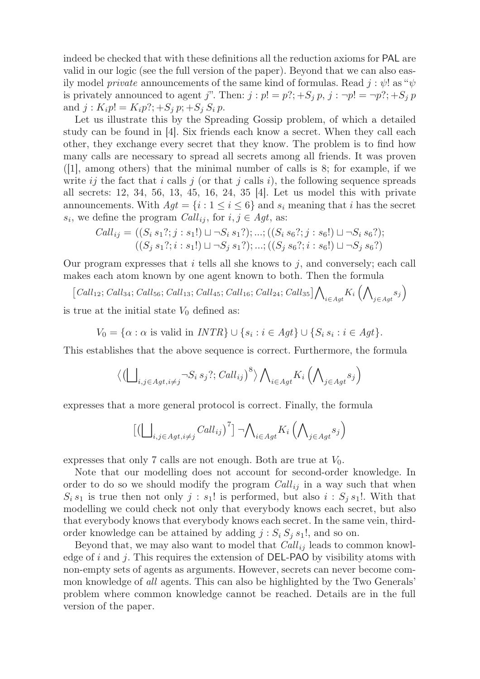indeed be checked that with these definitions all the reduction axioms for PAL are valid in our logic (see the full version of the paper). Beyond that we can also easily model *private* announcements of the same kind of formulas. Read  $j : \psi$ ! as " $\psi$ is privately announced to agent j". Then:  $j : p! = p?; +S_j p, j : \neg p! = \neg p?; +S_j p$ and  $j: K_i p! = K_i p?$ ; +S<sub>i</sub> p; +S<sub>i</sub> S<sub>i</sub> p.

Let us illustrate this by the Spreading Gossip problem, of which a detailed study can be found in [4]. Six friends each know a secret. When they call each other, they exchange every secret that they know. The problem is to find how many calls are necessary to spread all secrets among all friends. It was proven  $(1]$ , among others) that the minimal number of calls is 8; for example, if we write ij the fact that i calls j (or that j calls i), the following sequence spreads all secrets: 12, 34, 56, 13, 45, 16, 24, 35 [4]. Let us model this with private announcements. With  $Agt = \{i : 1 \le i \le 6\}$  and  $s_i$  meaning that i has the secret  $s_i$ , we define the program  $Call_{ij}$ , for  $i, j \in Agt$ , as:

$$
Call_{ij} = ((S_i s_1?; j : s_1!) \sqcup \neg S_i s_1?); \dots; ((S_i s_6?; j : s_6!) \sqcup \neg S_i s_6?);
$$
  

$$
((S_j s_1?; i : s_1!) \sqcup \neg S_j s_1?); \dots; ((S_j s_6?; i : s_6!) \sqcup \neg S_j s_6?)
$$

Our program expresses that  $i$  tells all she knows to  $j$ , and conversely; each call makes each atom known by one agent known to both. Then the formula

 $[Call_{12};Call_{34};Call_{56};Call_{13};Call_{45};Call_{16};Call_{24};Call_{35}]\bigwedge_{i\in Agt}K_i\bigwedge$  $_{j\in Agt}$ s<sub>j</sub> is true at the initial state  $V_0$  defined as:

 $V_0 = \{\alpha : \alpha \text{ is valid in } INTR\} \cup \{s_i : i \in Agt\} \cup \{S_i s_i : i \in Agt\}.$ 

This establishes that the above sequence is correct. Furthermore, the formula

$$
\langle \left( \bigsqcup\nolimits_{i,j \in Agt, i \neq j} \neg S_i \, s_j?; \, Call_{ij} \right)^8 \rangle \bigwedge\nolimits_{i \in Agt} K_i \left( \bigwedge\nolimits_{j \in Agt} s_j \right)
$$

expresses that a more general protocol is correct. Finally, the formula

$$
\big[\big(\bigsqcup\nolimits_{i,j\in Agt,i\neq j} Call_{ij}\big)^7\big]\ \neg \bigwedge\nolimits_{i\in Agt}K_i\left(\bigwedge\nolimits_{j\in Agt} s_j\right)
$$

expresses that only 7 calls are not enough. Both are true at  $V_0$ .

Note that our modelling does not account for second-order knowledge. In order to do so we should modify the program  $Call_{ij}$  in a way such that when  $S_i s_1$  is true then not only  $j : s_1!$  is performed, but also  $i : S_j s_1!$ . With that modelling we could check not only that everybody knows each secret, but also that everybody knows that everybody knows each secret. In the same vein, thirdorder knowledge can be attained by adding  $j : S_i S_j s_1!$ , and so on.

Beyond that, we may also want to model that  $Call_{ij}$  leads to common knowledge of  $i$  and  $j$ . This requires the extension of DEL-PAO by visibility atoms with non-empty sets of agents as arguments. However, secrets can never become common knowledge of *all* agents. This can also be highlighted by the Two Generals' problem where common knowledge cannot be reached. Details are in the full version of the paper.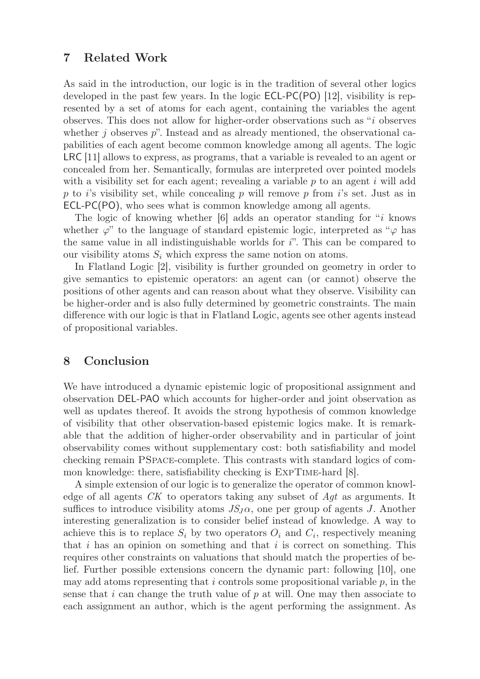## 7 Related Work

As said in the introduction, our logic is in the tradition of several other logics developed in the past few years. In the logic ECL-PC(PO) [12], visibility is represented by a set of atoms for each agent, containing the variables the agent observes. This does not allow for higher-order observations such as "i observes whether  $j$  observes  $p$ ". Instead and as already mentioned, the observational capabilities of each agent become common knowledge among all agents. The logic LRC [11] allows to express, as programs, that a variable is revealed to an agent or concealed from her. Semantically, formulas are interpreted over pointed models with a visibility set for each agent; revealing a variable  $p$  to an agent i will add p to i's visibility set, while concealing p will remove p from i's set. Just as in ECL-PC(PO), who sees what is common knowledge among all agents.

The logic of knowing whether [6] adds an operator standing for "i knows whether  $\varphi$ " to the language of standard epistemic logic, interpreted as " $\varphi$  has the same value in all indistinguishable worlds for  $i$ ". This can be compared to our visibility atoms  $S_i$  which express the same notion on atoms.

In Flatland Logic [2], visibility is further grounded on geometry in order to give semantics to epistemic operators: an agent can (or cannot) observe the positions of other agents and can reason about what they observe. Visibility can be higher-order and is also fully determined by geometric constraints. The main difference with our logic is that in Flatland Logic, agents see other agents instead of propositional variables.

## 8 Conclusion

We have introduced a dynamic epistemic logic of propositional assignment and observation DEL-PAO which accounts for higher-order and joint observation as well as updates thereof. It avoids the strong hypothesis of common knowledge of visibility that other observation-based epistemic logics make. It is remarkable that the addition of higher-order observability and in particular of joint observability comes without supplementary cost: both satisfiability and model checking remain PSpace-complete. This contrasts with standard logics of common knowledge: there, satisfiability checking is ExpTime-hard [8].

A simple extension of our logic is to generalize the operator of common knowledge of all agents CK to operators taking any subset of Agt as arguments. It suffices to introduce visibility atoms  $JS<sub>J</sub>α$ , one per group of agents J. Another interesting generalization is to consider belief instead of knowledge. A way to achieve this is to replace  $S_i$  by two operators  $O_i$  and  $C_i$ , respectively meaning that  $i$  has an opinion on something and that  $i$  is correct on something. This requires other constraints on valuations that should match the properties of belief. Further possible extensions concern the dynamic part: following [10], one may add atoms representing that i controls some propositional variable  $p$ , in the sense that i can change the truth value of  $p$  at will. One may then associate to each assignment an author, which is the agent performing the assignment. As